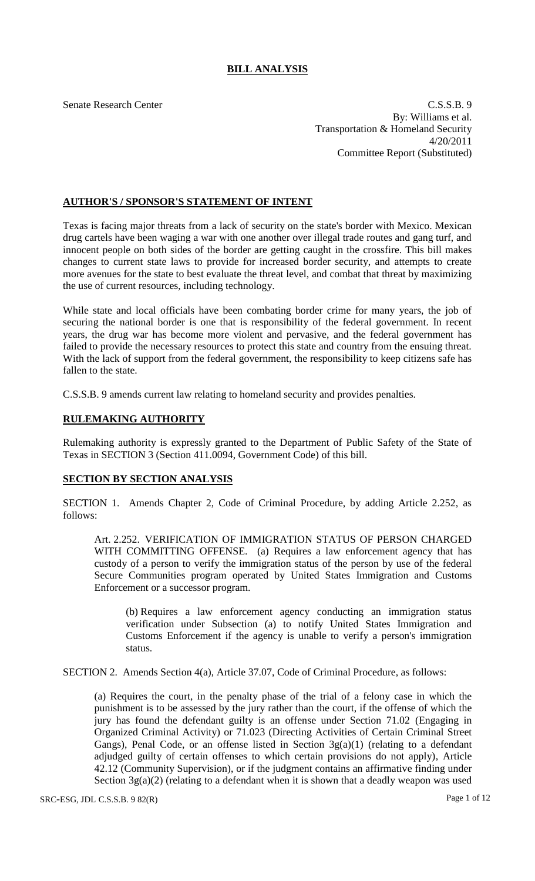# **BILL ANALYSIS**

Senate Research Center C.S.S.B. 9 By: Williams et al. Transportation & Homeland Security 4/20/2011 Committee Report (Substituted)

## **AUTHOR'S / SPONSOR'S STATEMENT OF INTENT**

Texas is facing major threats from a lack of security on the state's border with Mexico. Mexican drug cartels have been waging a war with one another over illegal trade routes and gang turf, and innocent people on both sides of the border are getting caught in the crossfire. This bill makes changes to current state laws to provide for increased border security, and attempts to create more avenues for the state to best evaluate the threat level, and combat that threat by maximizing the use of current resources, including technology.

While state and local officials have been combating border crime for many years, the job of securing the national border is one that is responsibility of the federal government. In recent years, the drug war has become more violent and pervasive, and the federal government has failed to provide the necessary resources to protect this state and country from the ensuing threat. With the lack of support from the federal government, the responsibility to keep citizens safe has fallen to the state.

C.S.S.B. 9 amends current law relating to homeland security and provides penalties.

## **RULEMAKING AUTHORITY**

Rulemaking authority is expressly granted to the Department of Public Safety of the State of Texas in SECTION 3 (Section 411.0094, Government Code) of this bill.

## **SECTION BY SECTION ANALYSIS**

SECTION 1. Amends Chapter 2, Code of Criminal Procedure, by adding Article 2.252, as follows:

Art. 2.252. VERIFICATION OF IMMIGRATION STATUS OF PERSON CHARGED WITH COMMITTING OFFENSE. (a) Requires a law enforcement agency that has custody of a person to verify the immigration status of the person by use of the federal Secure Communities program operated by United States Immigration and Customs Enforcement or a successor program.

(b) Requires a law enforcement agency conducting an immigration status verification under Subsection (a) to notify United States Immigration and Customs Enforcement if the agency is unable to verify a person's immigration status.

SECTION 2. Amends Section 4(a), Article 37.07, Code of Criminal Procedure, as follows:

(a) Requires the court, in the penalty phase of the trial of a felony case in which the punishment is to be assessed by the jury rather than the court, if the offense of which the jury has found the defendant guilty is an offense under Section 71.02 (Engaging in Organized Criminal Activity) or 71.023 (Directing Activities of Certain Criminal Street Gangs), Penal Code, or an offense listed in Section  $3g(a)(1)$  (relating to a defendant adjudged guilty of certain offenses to which certain provisions do not apply), Article 42.12 (Community Supervision), or if the judgment contains an affirmative finding under Section  $3g(a)(2)$  (relating to a defendant when it is shown that a deadly weapon was used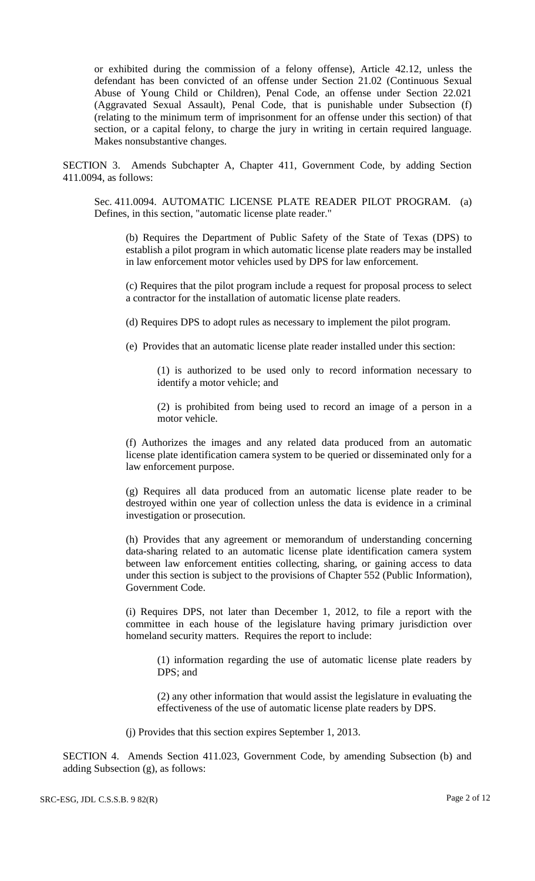or exhibited during the commission of a felony offense), Article 42.12, unless the defendant has been convicted of an offense under Section 21.02 (Continuous Sexual Abuse of Young Child or Children), Penal Code, an offense under Section 22.021 (Aggravated Sexual Assault), Penal Code, that is punishable under Subsection (f) (relating to the minimum term of imprisonment for an offense under this section) of that section, or a capital felony, to charge the jury in writing in certain required language. Makes nonsubstantive changes.

SECTION 3. Amends Subchapter A, Chapter 411, Government Code, by adding Section 411.0094, as follows:

Sec. 411.0094. AUTOMATIC LICENSE PLATE READER PILOT PROGRAM. (a) Defines, in this section, "automatic license plate reader."

(b) Requires the Department of Public Safety of the State of Texas (DPS) to establish a pilot program in which automatic license plate readers may be installed in law enforcement motor vehicles used by DPS for law enforcement.

(c) Requires that the pilot program include a request for proposal process to select a contractor for the installation of automatic license plate readers.

(d) Requires DPS to adopt rules as necessary to implement the pilot program.

(e) Provides that an automatic license plate reader installed under this section:

(1) is authorized to be used only to record information necessary to identify a motor vehicle; and

(2) is prohibited from being used to record an image of a person in a motor vehicle.

(f) Authorizes the images and any related data produced from an automatic license plate identification camera system to be queried or disseminated only for a law enforcement purpose.

(g) Requires all data produced from an automatic license plate reader to be destroyed within one year of collection unless the data is evidence in a criminal investigation or prosecution.

(h) Provides that any agreement or memorandum of understanding concerning data-sharing related to an automatic license plate identification camera system between law enforcement entities collecting, sharing, or gaining access to data under this section is subject to the provisions of Chapter 552 (Public Information), Government Code.

(i) Requires DPS, not later than December 1, 2012, to file a report with the committee in each house of the legislature having primary jurisdiction over homeland security matters. Requires the report to include:

(1) information regarding the use of automatic license plate readers by DPS; and

(2) any other information that would assist the legislature in evaluating the effectiveness of the use of automatic license plate readers by DPS.

(j) Provides that this section expires September 1, 2013.

SECTION 4. Amends Section 411.023, Government Code, by amending Subsection (b) and adding Subsection (g), as follows: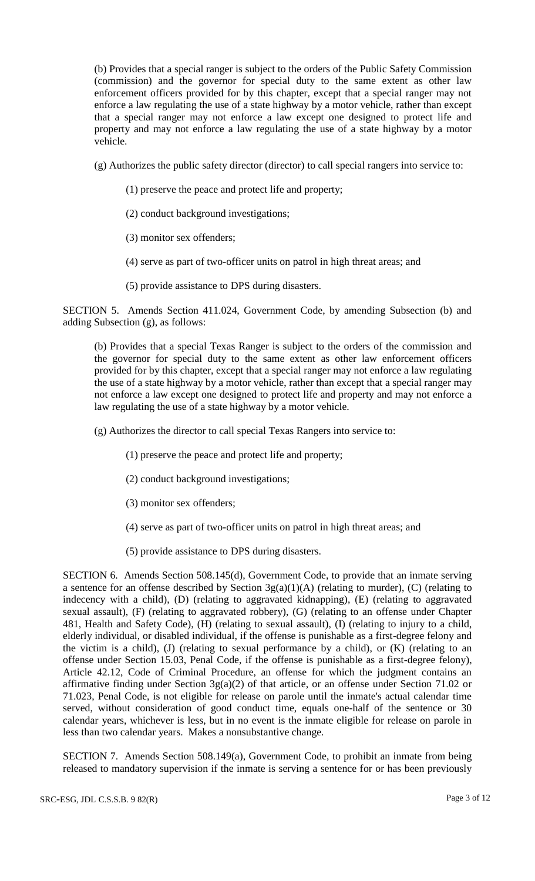(b) Provides that a special ranger is subject to the orders of the Public Safety Commission (commission) and the governor for special duty to the same extent as other law enforcement officers provided for by this chapter, except that a special ranger may not enforce a law regulating the use of a state highway by a motor vehicle, rather than except that a special ranger may not enforce a law except one designed to protect life and property and may not enforce a law regulating the use of a state highway by a motor vehicle.

(g) Authorizes the public safety director (director) to call special rangers into service to:

- (1) preserve the peace and protect life and property;
- (2) conduct background investigations;
- (3) monitor sex offenders;
- (4) serve as part of two-officer units on patrol in high threat areas; and
- (5) provide assistance to DPS during disasters.

SECTION 5. Amends Section 411.024, Government Code, by amending Subsection (b) and adding Subsection (g), as follows:

(b) Provides that a special Texas Ranger is subject to the orders of the commission and the governor for special duty to the same extent as other law enforcement officers provided for by this chapter, except that a special ranger may not enforce a law regulating the use of a state highway by a motor vehicle, rather than except that a special ranger may not enforce a law except one designed to protect life and property and may not enforce a law regulating the use of a state highway by a motor vehicle.

(g) Authorizes the director to call special Texas Rangers into service to:

- (1) preserve the peace and protect life and property;
- (2) conduct background investigations;
- (3) monitor sex offenders;
- (4) serve as part of two-officer units on patrol in high threat areas; and
- (5) provide assistance to DPS during disasters.

SECTION 6. Amends Section 508.145(d), Government Code, to provide that an inmate serving a sentence for an offense described by Section  $3g(a)(1)(A)$  (relating to murder), (C) (relating to indecency with a child), (D) (relating to aggravated kidnapping), (E) (relating to aggravated sexual assault), (F) (relating to aggravated robbery), (G) (relating to an offense under Chapter 481, Health and Safety Code), (H) (relating to sexual assault), (I) (relating to injury to a child, elderly individual, or disabled individual, if the offense is punishable as a first-degree felony and the victim is a child),  $(J)$  (relating to sexual performance by a child), or  $(K)$  (relating to an offense under Section 15.03, Penal Code, if the offense is punishable as a first-degree felony), Article 42.12, Code of Criminal Procedure, an offense for which the judgment contains an affirmative finding under Section  $3g(a)(2)$  of that article, or an offense under Section 71.02 or 71.023, Penal Code, is not eligible for release on parole until the inmate's actual calendar time served, without consideration of good conduct time, equals one-half of the sentence or 30 calendar years, whichever is less, but in no event is the inmate eligible for release on parole in less than two calendar years. Makes a nonsubstantive change.

SECTION 7. Amends Section 508.149(a), Government Code, to prohibit an inmate from being released to mandatory supervision if the inmate is serving a sentence for or has been previously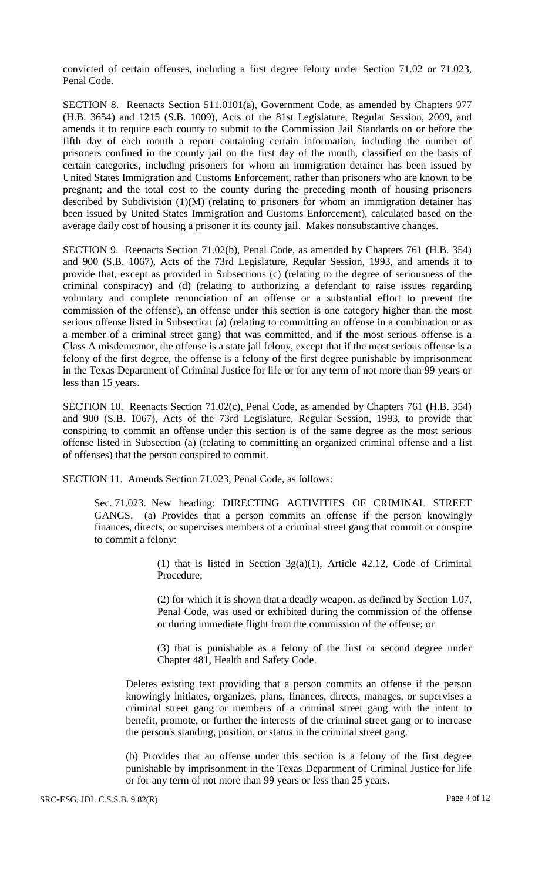convicted of certain offenses, including a first degree felony under Section 71.02 or 71.023, Penal Code.

SECTION 8. Reenacts Section 511.0101(a), Government Code, as amended by Chapters 977 (H.B. 3654) and 1215 (S.B. 1009), Acts of the 81st Legislature, Regular Session, 2009, and amends it to require each county to submit to the Commission Jail Standards on or before the fifth day of each month a report containing certain information, including the number of prisoners confined in the county jail on the first day of the month, classified on the basis of certain categories, including prisoners for whom an immigration detainer has been issued by United States Immigration and Customs Enforcement, rather than prisoners who are known to be pregnant; and the total cost to the county during the preceding month of housing prisoners described by Subdivision (1)(M) (relating to prisoners for whom an immigration detainer has been issued by United States Immigration and Customs Enforcement), calculated based on the average daily cost of housing a prisoner it its county jail. Makes nonsubstantive changes.

SECTION 9. Reenacts Section 71.02(b), Penal Code, as amended by Chapters 761 (H.B. 354) and 900 (S.B. 1067), Acts of the 73rd Legislature, Regular Session, 1993, and amends it to provide that, except as provided in Subsections (c) (relating to the degree of seriousness of the criminal conspiracy) and (d) (relating to authorizing a defendant to raise issues regarding voluntary and complete renunciation of an offense or a substantial effort to prevent the commission of the offense), an offense under this section is one category higher than the most serious offense listed in Subsection (a) (relating to committing an offense in a combination or as a member of a criminal street gang) that was committed, and if the most serious offense is a Class A misdemeanor, the offense is a state jail felony, except that if the most serious offense is a felony of the first degree, the offense is a felony of the first degree punishable by imprisonment in the Texas Department of Criminal Justice for life or for any term of not more than 99 years or less than 15 years.

SECTION 10. Reenacts Section 71.02(c), Penal Code, as amended by Chapters 761 (H.B. 354) and 900 (S.B. 1067), Acts of the 73rd Legislature, Regular Session, 1993, to provide that conspiring to commit an offense under this section is of the same degree as the most serious offense listed in Subsection (a) (relating to committing an organized criminal offense and a list of offenses) that the person conspired to commit.

SECTION 11. Amends Section 71.023, Penal Code, as follows:

Sec. 71.023. New heading: DIRECTING ACTIVITIES OF CRIMINAL STREET GANGS. (a) Provides that a person commits an offense if the person knowingly finances, directs, or supervises members of a criminal street gang that commit or conspire to commit a felony:

> (1) that is listed in Section 3g(a)(1), Article 42.12, Code of Criminal Procedure;

> (2) for which it is shown that a deadly weapon, as defined by Section 1.07, Penal Code, was used or exhibited during the commission of the offense or during immediate flight from the commission of the offense; or

> (3) that is punishable as a felony of the first or second degree under Chapter 481, Health and Safety Code.

Deletes existing text providing that a person commits an offense if the person knowingly initiates, organizes, plans, finances, directs, manages, or supervises a criminal street gang or members of a criminal street gang with the intent to benefit, promote, or further the interests of the criminal street gang or to increase the person's standing, position, or status in the criminal street gang.

(b) Provides that an offense under this section is a felony of the first degree punishable by imprisonment in the Texas Department of Criminal Justice for life or for any term of not more than 99 years or less than 25 years.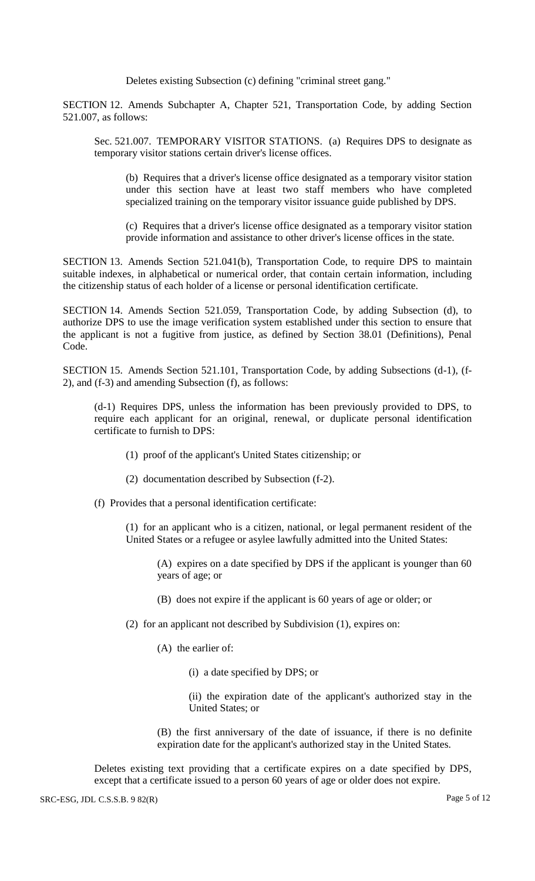Deletes existing Subsection (c) defining "criminal street gang."

SECTION 12. Amends Subchapter A, Chapter 521, Transportation Code, by adding Section 521.007, as follows:

Sec. 521.007. TEMPORARY VISITOR STATIONS. (a) Requires DPS to designate as temporary visitor stations certain driver's license offices.

(b) Requires that a driver's license office designated as a temporary visitor station under this section have at least two staff members who have completed specialized training on the temporary visitor issuance guide published by DPS.

(c) Requires that a driver's license office designated as a temporary visitor station provide information and assistance to other driver's license offices in the state.

SECTION 13. Amends Section 521.041(b), Transportation Code, to require DPS to maintain suitable indexes, in alphabetical or numerical order, that contain certain information, including the citizenship status of each holder of a license or personal identification certificate.

SECTION 14. Amends Section 521.059, Transportation Code, by adding Subsection (d), to authorize DPS to use the image verification system established under this section to ensure that the applicant is not a fugitive from justice, as defined by Section 38.01 (Definitions), Penal Code.

SECTION 15. Amends Section 521.101, Transportation Code, by adding Subsections (d-1), (f-2), and (f-3) and amending Subsection (f), as follows:

(d-1) Requires DPS, unless the information has been previously provided to DPS, to require each applicant for an original, renewal, or duplicate personal identification certificate to furnish to DPS:

- (1) proof of the applicant's United States citizenship; or
- (2) documentation described by Subsection (f-2).
- (f) Provides that a personal identification certificate:

(1) for an applicant who is a citizen, national, or legal permanent resident of the United States or a refugee or asylee lawfully admitted into the United States:

(A) expires on a date specified by DPS if the applicant is younger than 60 years of age; or

- (B) does not expire if the applicant is 60 years of age or older; or
- (2) for an applicant not described by Subdivision (1), expires on:
	- (A) the earlier of:
		- (i) a date specified by DPS; or
		- (ii) the expiration date of the applicant's authorized stay in the United States; or

(B) the first anniversary of the date of issuance, if there is no definite expiration date for the applicant's authorized stay in the United States.

Deletes existing text providing that a certificate expires on a date specified by DPS, except that a certificate issued to a person 60 years of age or older does not expire.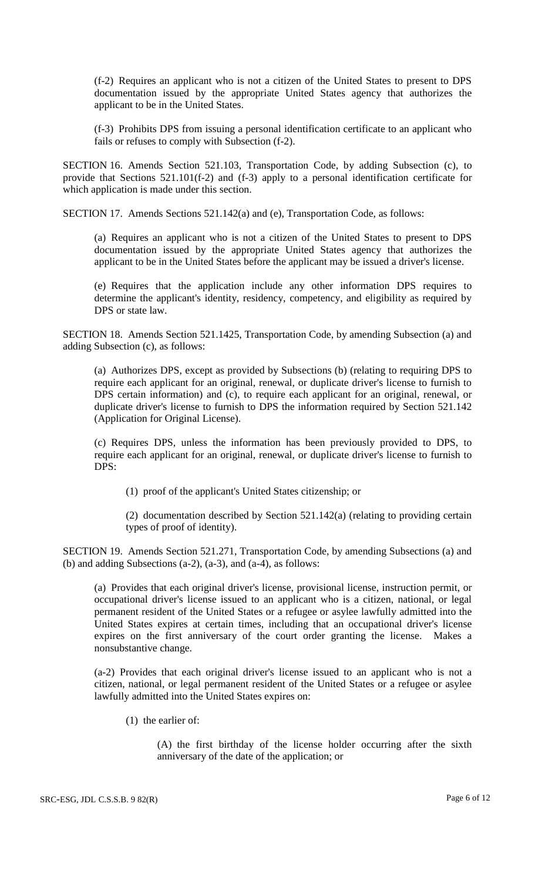(f-2) Requires an applicant who is not a citizen of the United States to present to DPS documentation issued by the appropriate United States agency that authorizes the applicant to be in the United States.

(f-3) Prohibits DPS from issuing a personal identification certificate to an applicant who fails or refuses to comply with Subsection (f-2).

SECTION 16. Amends Section 521.103, Transportation Code, by adding Subsection (c), to provide that Sections 521.101(f-2) and (f-3) apply to a personal identification certificate for which application is made under this section.

SECTION 17. Amends Sections 521.142(a) and (e), Transportation Code, as follows:

(a) Requires an applicant who is not a citizen of the United States to present to DPS documentation issued by the appropriate United States agency that authorizes the applicant to be in the United States before the applicant may be issued a driver's license.

(e) Requires that the application include any other information DPS requires to determine the applicant's identity, residency, competency, and eligibility as required by DPS or state law.

SECTION 18. Amends Section 521.1425, Transportation Code, by amending Subsection (a) and adding Subsection (c), as follows:

(a) Authorizes DPS, except as provided by Subsections (b) (relating to requiring DPS to require each applicant for an original, renewal, or duplicate driver's license to furnish to DPS certain information) and (c), to require each applicant for an original, renewal, or duplicate driver's license to furnish to DPS the information required by Section 521.142 (Application for Original License).

(c) Requires DPS, unless the information has been previously provided to DPS, to require each applicant for an original, renewal, or duplicate driver's license to furnish to DPS:

(1) proof of the applicant's United States citizenship; or

(2) documentation described by Section 521.142(a) (relating to providing certain types of proof of identity).

SECTION 19. Amends Section 521.271, Transportation Code, by amending Subsections (a) and (b) and adding Subsections (a-2), (a-3), and (a-4), as follows:

(a) Provides that each original driver's license, provisional license, instruction permit, or occupational driver's license issued to an applicant who is a citizen, national, or legal permanent resident of the United States or a refugee or asylee lawfully admitted into the United States expires at certain times, including that an occupational driver's license expires on the first anniversary of the court order granting the license. Makes a nonsubstantive change.

(a-2) Provides that each original driver's license issued to an applicant who is not a citizen, national, or legal permanent resident of the United States or a refugee or asylee lawfully admitted into the United States expires on:

(1) the earlier of:

(A) the first birthday of the license holder occurring after the sixth anniversary of the date of the application; or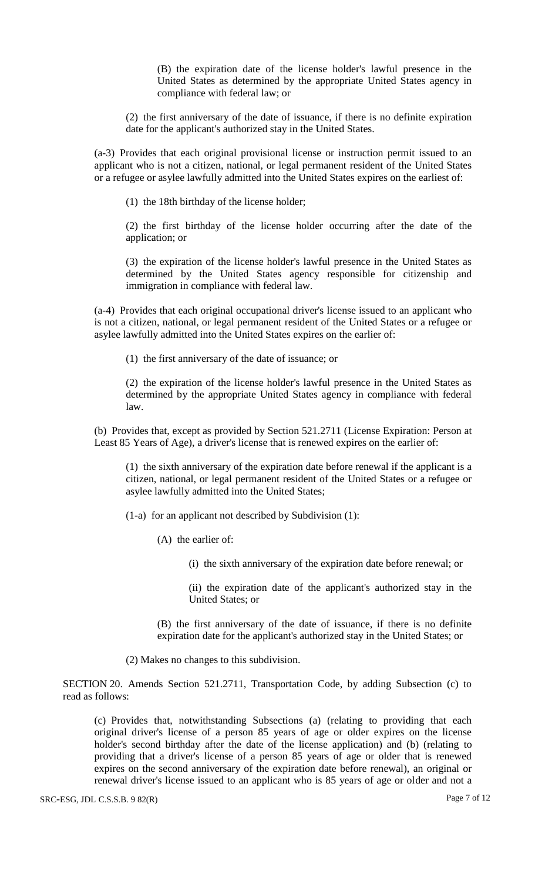(B) the expiration date of the license holder's lawful presence in the United States as determined by the appropriate United States agency in compliance with federal law; or

(2) the first anniversary of the date of issuance, if there is no definite expiration date for the applicant's authorized stay in the United States.

(a-3) Provides that each original provisional license or instruction permit issued to an applicant who is not a citizen, national, or legal permanent resident of the United States or a refugee or asylee lawfully admitted into the United States expires on the earliest of:

(1) the 18th birthday of the license holder;

(2) the first birthday of the license holder occurring after the date of the application; or

(3) the expiration of the license holder's lawful presence in the United States as determined by the United States agency responsible for citizenship and immigration in compliance with federal law.

(a-4) Provides that each original occupational driver's license issued to an applicant who is not a citizen, national, or legal permanent resident of the United States or a refugee or asylee lawfully admitted into the United States expires on the earlier of:

(1) the first anniversary of the date of issuance; or

(2) the expiration of the license holder's lawful presence in the United States as determined by the appropriate United States agency in compliance with federal law.

(b) Provides that, except as provided by Section 521.2711 (License Expiration: Person at Least 85 Years of Age), a driver's license that is renewed expires on the earlier of:

(1) the sixth anniversary of the expiration date before renewal if the applicant is a citizen, national, or legal permanent resident of the United States or a refugee or asylee lawfully admitted into the United States;

(1-a) for an applicant not described by Subdivision (1):

- (A) the earlier of:
	- (i) the sixth anniversary of the expiration date before renewal; or

(ii) the expiration date of the applicant's authorized stay in the United States; or

(B) the first anniversary of the date of issuance, if there is no definite expiration date for the applicant's authorized stay in the United States; or

(2) Makes no changes to this subdivision.

SECTION 20. Amends Section 521.2711, Transportation Code, by adding Subsection (c) to read as follows:

(c) Provides that, notwithstanding Subsections (a) (relating to providing that each original driver's license of a person 85 years of age or older expires on the license holder's second birthday after the date of the license application) and (b) (relating to providing that a driver's license of a person 85 years of age or older that is renewed expires on the second anniversary of the expiration date before renewal), an original or renewal driver's license issued to an applicant who is 85 years of age or older and not a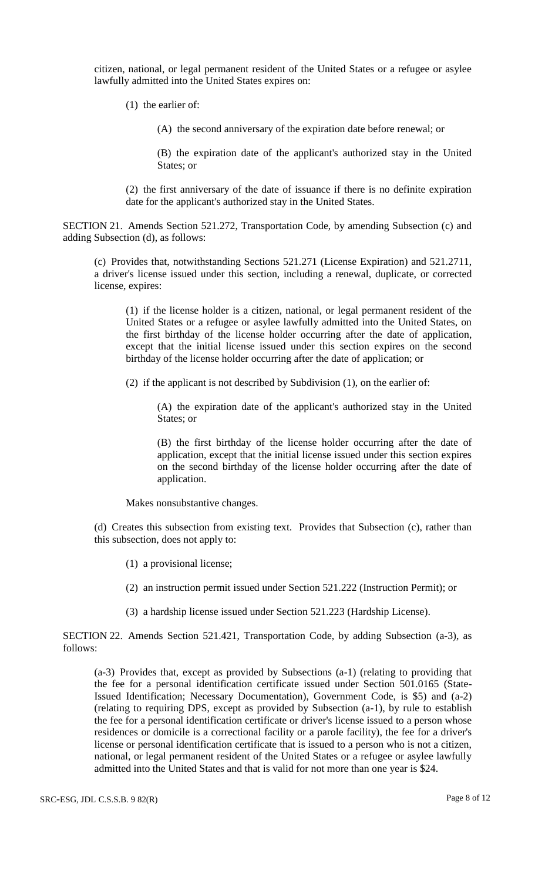citizen, national, or legal permanent resident of the United States or a refugee or asylee lawfully admitted into the United States expires on:

(1) the earlier of:

(A) the second anniversary of the expiration date before renewal; or

(B) the expiration date of the applicant's authorized stay in the United States; or

(2) the first anniversary of the date of issuance if there is no definite expiration date for the applicant's authorized stay in the United States.

SECTION 21. Amends Section 521.272, Transportation Code, by amending Subsection (c) and adding Subsection (d), as follows:

(c) Provides that, notwithstanding Sections 521.271 (License Expiration) and 521.2711, a driver's license issued under this section, including a renewal, duplicate, or corrected license, expires:

(1) if the license holder is a citizen, national, or legal permanent resident of the United States or a refugee or asylee lawfully admitted into the United States, on the first birthday of the license holder occurring after the date of application, except that the initial license issued under this section expires on the second birthday of the license holder occurring after the date of application; or

(2) if the applicant is not described by Subdivision (1), on the earlier of:

(A) the expiration date of the applicant's authorized stay in the United States; or

(B) the first birthday of the license holder occurring after the date of application, except that the initial license issued under this section expires on the second birthday of the license holder occurring after the date of application.

Makes nonsubstantive changes.

(d) Creates this subsection from existing text. Provides that Subsection (c), rather than this subsection, does not apply to:

- (1) a provisional license;
- (2) an instruction permit issued under Section 521.222 (Instruction Permit); or
- (3) a hardship license issued under Section 521.223 (Hardship License).

SECTION 22. Amends Section 521.421, Transportation Code, by adding Subsection (a-3), as follows:

(a-3) Provides that, except as provided by Subsections (a-1) (relating to providing that the fee for a personal identification certificate issued under Section 501.0165 (State-Issued Identification; Necessary Documentation), Government Code, is \$5) and (a-2) (relating to requiring DPS, except as provided by Subsection (a-1), by rule to establish the fee for a personal identification certificate or driver's license issued to a person whose residences or domicile is a correctional facility or a parole facility), the fee for a driver's license or personal identification certificate that is issued to a person who is not a citizen, national, or legal permanent resident of the United States or a refugee or asylee lawfully admitted into the United States and that is valid for not more than one year is \$24.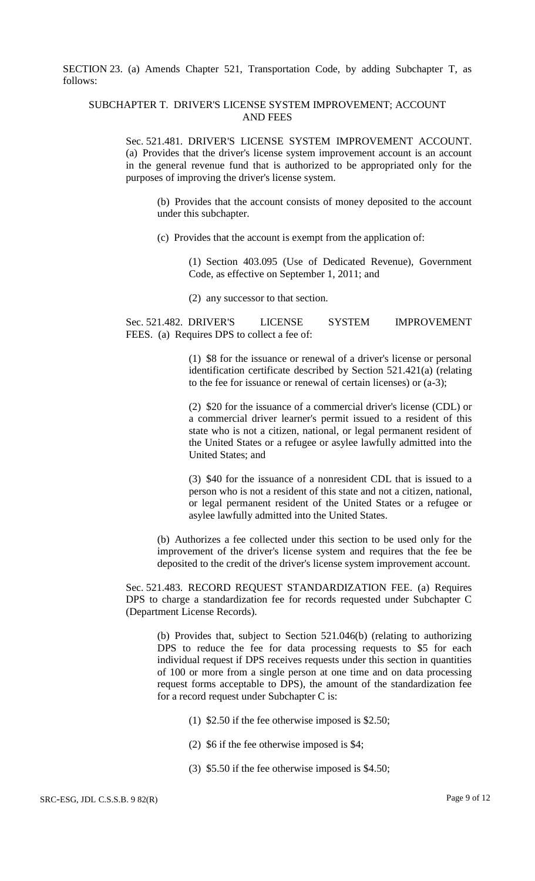SECTION 23. (a) Amends Chapter 521, Transportation Code, by adding Subchapter T, as follows:

### SUBCHAPTER T. DRIVER'S LICENSE SYSTEM IMPROVEMENT; ACCOUNT AND FEES

Sec. 521.481. DRIVER'S LICENSE SYSTEM IMPROVEMENT ACCOUNT. (a) Provides that the driver's license system improvement account is an account in the general revenue fund that is authorized to be appropriated only for the purposes of improving the driver's license system.

(b) Provides that the account consists of money deposited to the account under this subchapter.

(c) Provides that the account is exempt from the application of:

(1) Section 403.095 (Use of Dedicated Revenue), Government Code, as effective on September 1, 2011; and

(2) any successor to that section.

Sec. 521.482. DRIVER'S LICENSE SYSTEM IMPROVEMENT FEES. (a) Requires DPS to collect a fee of:

> (1) \$8 for the issuance or renewal of a driver's license or personal identification certificate described by Section 521.421(a) (relating to the fee for issuance or renewal of certain licenses) or (a-3);

> (2) \$20 for the issuance of a commercial driver's license (CDL) or a commercial driver learner's permit issued to a resident of this state who is not a citizen, national, or legal permanent resident of the United States or a refugee or asylee lawfully admitted into the United States; and

> (3) \$40 for the issuance of a nonresident CDL that is issued to a person who is not a resident of this state and not a citizen, national, or legal permanent resident of the United States or a refugee or asylee lawfully admitted into the United States.

(b) Authorizes a fee collected under this section to be used only for the improvement of the driver's license system and requires that the fee be deposited to the credit of the driver's license system improvement account.

Sec. 521.483. RECORD REQUEST STANDARDIZATION FEE. (a) Requires DPS to charge a standardization fee for records requested under Subchapter C (Department License Records).

(b) Provides that, subject to Section 521.046(b) (relating to authorizing DPS to reduce the fee for data processing requests to \$5 for each individual request if DPS receives requests under this section in quantities of 100 or more from a single person at one time and on data processing request forms acceptable to DPS), the amount of the standardization fee for a record request under Subchapter C is:

- (1) \$2.50 if the fee otherwise imposed is \$2.50;
- (2) \$6 if the fee otherwise imposed is \$4;
- (3) \$5.50 if the fee otherwise imposed is \$4.50;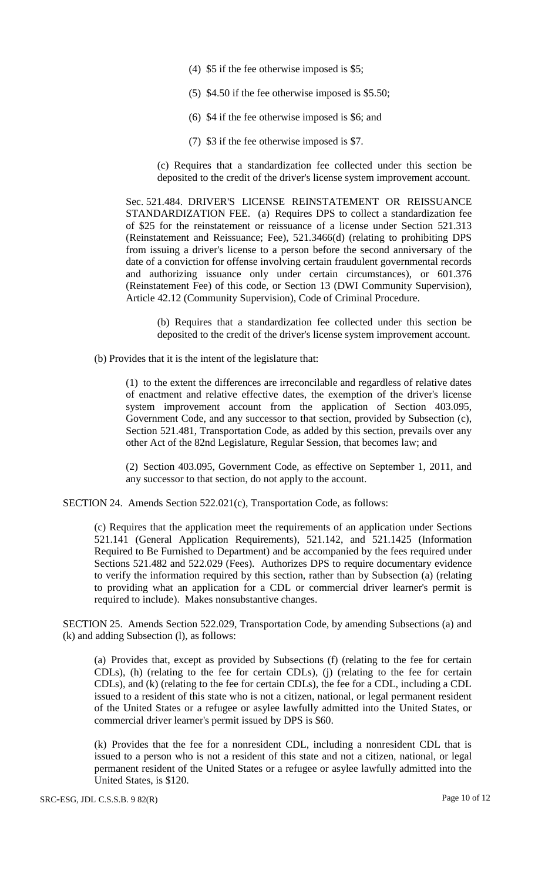- (4) \$5 if the fee otherwise imposed is \$5;
- (5) \$4.50 if the fee otherwise imposed is \$5.50;
- (6) \$4 if the fee otherwise imposed is \$6; and
- (7) \$3 if the fee otherwise imposed is \$7.

(c) Requires that a standardization fee collected under this section be deposited to the credit of the driver's license system improvement account.

Sec. 521.484. DRIVER'S LICENSE REINSTATEMENT OR REISSUANCE STANDARDIZATION FEE. (a) Requires DPS to collect a standardization fee of \$25 for the reinstatement or reissuance of a license under Section 521.313 (Reinstatement and Reissuance; Fee), 521.3466(d) (relating to prohibiting DPS from issuing a driver's license to a person before the second anniversary of the date of a conviction for offense involving certain fraudulent governmental records and authorizing issuance only under certain circumstances), or 601.376 (Reinstatement Fee) of this code, or Section 13 (DWI Community Supervision), Article 42.12 (Community Supervision), Code of Criminal Procedure.

(b) Requires that a standardization fee collected under this section be deposited to the credit of the driver's license system improvement account.

(b) Provides that it is the intent of the legislature that:

(1) to the extent the differences are irreconcilable and regardless of relative dates of enactment and relative effective dates, the exemption of the driver's license system improvement account from the application of Section 403.095, Government Code, and any successor to that section, provided by Subsection (c), Section 521.481, Transportation Code, as added by this section, prevails over any other Act of the 82nd Legislature, Regular Session, that becomes law; and

(2) Section 403.095, Government Code, as effective on September 1, 2011, and any successor to that section, do not apply to the account.

SECTION 24. Amends Section 522.021(c), Transportation Code, as follows:

(c) Requires that the application meet the requirements of an application under Sections 521.141 (General Application Requirements), 521.142, and 521.1425 (Information Required to Be Furnished to Department) and be accompanied by the fees required under Sections 521.482 and 522.029 (Fees). Authorizes DPS to require documentary evidence to verify the information required by this section, rather than by Subsection (a) (relating to providing what an application for a CDL or commercial driver learner's permit is required to include). Makes nonsubstantive changes.

SECTION 25. Amends Section 522.029, Transportation Code, by amending Subsections (a) and (k) and adding Subsection (l), as follows:

(a) Provides that, except as provided by Subsections (f) (relating to the fee for certain CDLs), (h) (relating to the fee for certain CDLs), (j) (relating to the fee for certain CDLs), and (k) (relating to the fee for certain CDLs), the fee for a CDL, including a CDL issued to a resident of this state who is not a citizen, national, or legal permanent resident of the United States or a refugee or asylee lawfully admitted into the United States, or commercial driver learner's permit issued by DPS is \$60.

(k) Provides that the fee for a nonresident CDL, including a nonresident CDL that is issued to a person who is not a resident of this state and not a citizen, national, or legal permanent resident of the United States or a refugee or asylee lawfully admitted into the United States, is \$120.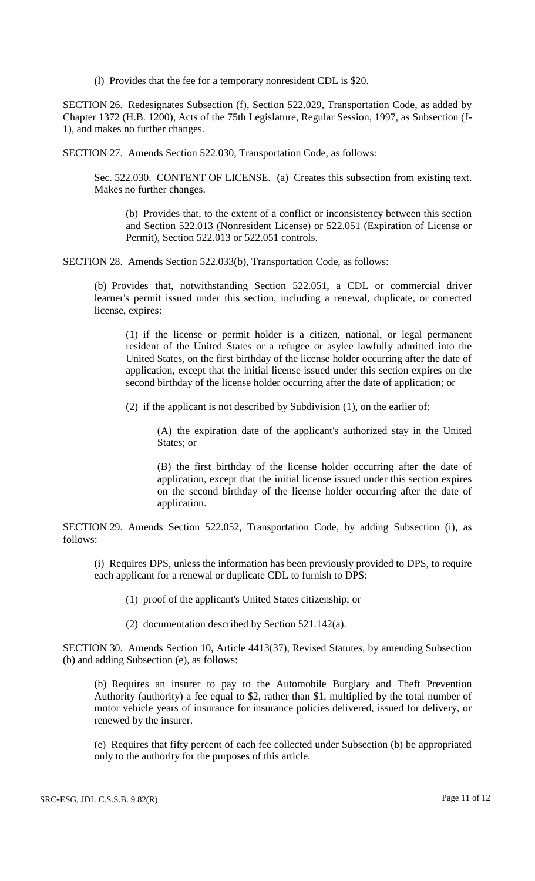(l) Provides that the fee for a temporary nonresident CDL is \$20.

SECTION 26. Redesignates Subsection (f), Section 522.029, Transportation Code, as added by Chapter 1372 (H.B. 1200), Acts of the 75th Legislature, Regular Session, 1997, as Subsection (f-1), and makes no further changes.

SECTION 27. Amends Section 522.030, Transportation Code, as follows:

Sec. 522.030. CONTENT OF LICENSE. (a) Creates this subsection from existing text. Makes no further changes.

(b) Provides that, to the extent of a conflict or inconsistency between this section and Section 522.013 (Nonresident License) or 522.051 (Expiration of License or Permit), Section 522.013 or 522.051 controls.

SECTION 28. Amends Section 522.033(b), Transportation Code, as follows:

(b) Provides that, notwithstanding Section 522.051, a CDL or commercial driver learner's permit issued under this section, including a renewal, duplicate, or corrected license, expires:

(1) if the license or permit holder is a citizen, national, or legal permanent resident of the United States or a refugee or asylee lawfully admitted into the United States, on the first birthday of the license holder occurring after the date of application, except that the initial license issued under this section expires on the second birthday of the license holder occurring after the date of application; or

(2) if the applicant is not described by Subdivision (1), on the earlier of:

(A) the expiration date of the applicant's authorized stay in the United States; or

(B) the first birthday of the license holder occurring after the date of application, except that the initial license issued under this section expires on the second birthday of the license holder occurring after the date of application.

SECTION 29. Amends Section 522.052, Transportation Code, by adding Subsection (i), as follows:

(i) Requires DPS, unless the information has been previously provided to DPS, to require each applicant for a renewal or duplicate CDL to furnish to DPS:

(1) proof of the applicant's United States citizenship; or

(2) documentation described by Section 521.142(a).

SECTION 30. Amends Section 10, Article 4413(37), Revised Statutes, by amending Subsection (b) and adding Subsection (e), as follows:

(b) Requires an insurer to pay to the Automobile Burglary and Theft Prevention Authority (authority) a fee equal to \$2, rather than \$1, multiplied by the total number of motor vehicle years of insurance for insurance policies delivered, issued for delivery, or renewed by the insurer.

(e) Requires that fifty percent of each fee collected under Subsection (b) be appropriated only to the authority for the purposes of this article.